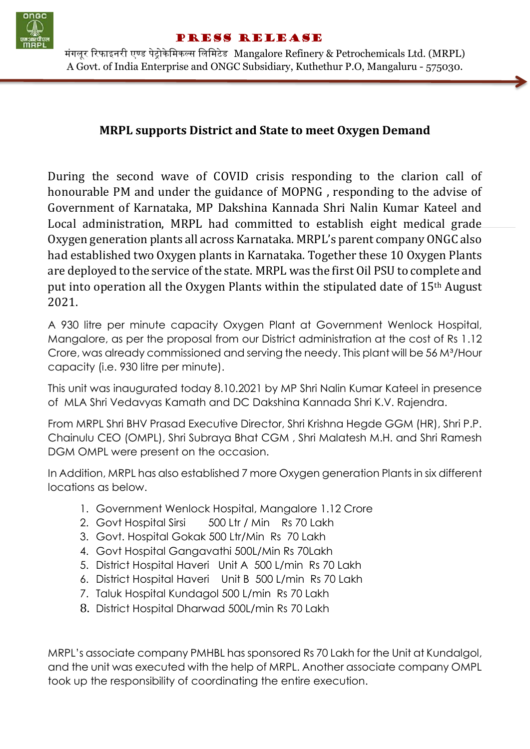

## Press Release

मंगलूर रिफाइनरी एण्ड पेट्रोकेमिकल्स लिमिटेड Mangalore Refinery & Petrochemicals Ltd. (MRPL) A Govt. of India Enterprise and ONGC Subsidiary, Kuthethur P.O, Mangaluru - 575030.

## **MRPL supports District and State to meet Oxygen Demand**

During the second wave of COVID crisis responding to the clarion call of honourable PM and under the guidance of MOPNG , responding to the advise of Government of Karnataka, MP Dakshina Kannada Shri Nalin Kumar Kateel and Local administration, MRPL had committed to establish eight medical grade Oxygen generation plants all across Karnataka. MRPL's parent company ONGC also had established two Oxygen plants in Karnataka. Together these 10 Oxygen Plants are deployed to the service of the state. MRPL was the first Oil PSU to complete and put into operation all the Oxygen Plants within the stipulated date of 15th August 2021.

A 930 litre per minute capacity Oxygen Plant at Government Wenlock Hospital, Mangalore, as per the proposal from our District administration at the cost of Rs 1.12 Crore, was already commissioned and serving the needy. This plant will be 56 M<sup>3</sup>/Hour capacity (i.e. 930 litre per minute).

This unit was inaugurated today 8.10.2021 by MP Shri Nalin Kumar Kateel in presence of MLA Shri Vedavyas Kamath and DC Dakshina Kannada Shri K.V. Rajendra.

From MRPL Shri BHV Prasad Executive Director, Shri Krishna Hegde GGM (HR), Shri P.P. Chainulu CEO (OMPL), Shri Subraya Bhat CGM , Shri Malatesh M.H. and Shri Ramesh DGM OMPL were present on the occasion.

In Addition, MRPL has also established 7 more Oxygen generation Plants in six different locations as below.

- 1. Government Wenlock Hospital, Mangalore 1.12 Crore
- 2. Govt Hospital Sirsi 500 Ltr / Min Rs 70 Lakh
- 3. Govt. Hospital Gokak 500 Ltr/Min Rs 70 Lakh
- 4. Govt Hospital Gangavathi 500L/Min Rs 70Lakh
- 5. District Hospital Haveri Unit A 500 L/min Rs 70 Lakh
- 6. District Hospital Haveri Unit B 500 L/min Rs 70 Lakh
- 7. Taluk Hospital Kundagol 500 L/min Rs 70 Lakh
- 8. District Hospital Dharwad 500L/min Rs 70 Lakh

MRPL's associate company PMHBL has sponsored Rs 70 Lakh for the Unit at Kundalgol, and the unit was executed with the help of MRPL. Another associate company OMPL took up the responsibility of coordinating the entire execution.